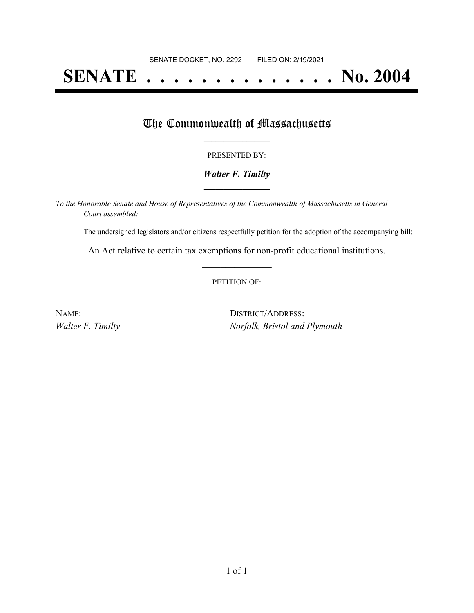# **SENATE . . . . . . . . . . . . . . No. 2004**

### The Commonwealth of Massachusetts

#### PRESENTED BY:

#### *Walter F. Timilty* **\_\_\_\_\_\_\_\_\_\_\_\_\_\_\_\_\_**

*To the Honorable Senate and House of Representatives of the Commonwealth of Massachusetts in General Court assembled:*

The undersigned legislators and/or citizens respectfully petition for the adoption of the accompanying bill:

An Act relative to certain tax exemptions for non-profit educational institutions. **\_\_\_\_\_\_\_\_\_\_\_\_\_\_\_**

#### PETITION OF:

NAME: DISTRICT/ADDRESS: *Walter F. Timilty Norfolk, Bristol and Plymouth*